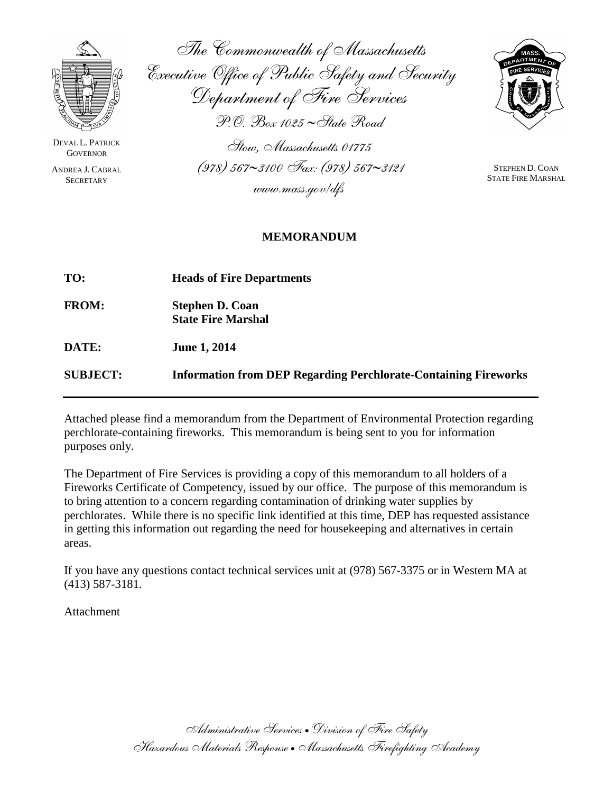

DEVAL L. PATRICK **GOVERNOR** 

ANDREA J. CABRAL **SECRETARY** 

The Commonwealth of Massachusetts Executive Office of Public Safety and Security Department of Fire Services P.O. Box 1025 ∼State Road Stow, Massachusetts 01775

(978) 567∼3100 Fax: (978) 567∼3121 www.mass.gov/dfs



STEPHEN D. COAN STATE FIRE MARSHAL

# **MEMORANDUM**

| TO:             | <b>Heads of Fire Departments</b>                                       |
|-----------------|------------------------------------------------------------------------|
| <b>FROM:</b>    | <b>Stephen D. Coan</b><br><b>State Fire Marshal</b>                    |
| DATE:           | <b>June 1, 2014</b>                                                    |
| <b>SUBJECT:</b> | <b>Information from DEP Regarding Perchlorate-Containing Fireworks</b> |

Attached please find a memorandum from the Department of Environmental Protection regarding perchlorate-containing fireworks. This memorandum is being sent to you for information purposes only.

The Department of Fire Services is providing a copy of this memorandum to all holders of a Fireworks Certificate of Competency, issued by our office. The purpose of this memorandum is to bring attention to a concern regarding contamination of drinking water supplies by perchlorates. While there is no specific link identified at this time, DEP has requested assistance in getting this information out regarding the need for housekeeping and alternatives in certain areas.

If you have any questions contact technical services unit at (978) 567-3375 or in Western MA at (413) 587-3181.

Attachment

Administrative Services • Division of Fire Safety Hazardous Materials Response •Massachusetts Firefighting Academy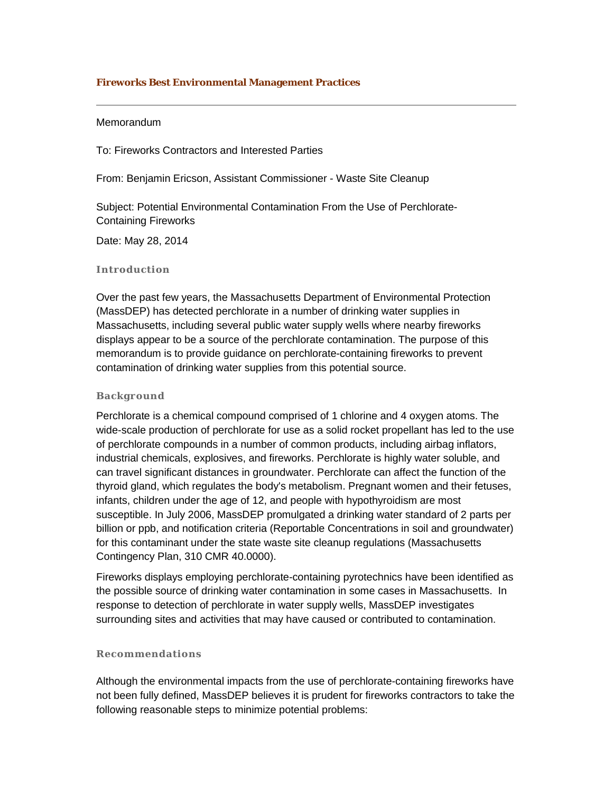## **Fireworks Best Environmental Management Practices**

#### Memorandum

To: Fireworks Contractors and Interested Parties

From: Benjamin Ericson, Assistant Commissioner - Waste Site Cleanup

Subject: Potential Environmental Contamination From the Use of Perchlorate-Containing Fireworks

Date: May 28, 2014

### **Introduction**

Over the past few years, the Massachusetts Department of Environmental Protection (MassDEP) has detected perchlorate in a number of drinking water supplies in Massachusetts, including several public water supply wells where nearby fireworks displays appear to be a source of the perchlorate contamination. The purpose of this memorandum is to provide guidance on perchlorate-containing fireworks to prevent contamination of drinking water supplies from this potential source.

#### **Background**

Perchlorate is a chemical compound comprised of 1 chlorine and 4 oxygen atoms. The wide-scale production of perchlorate for use as a solid rocket propellant has led to the use of perchlorate compounds in a number of common products, including airbag inflators, industrial chemicals, explosives, and fireworks. Perchlorate is highly water soluble, and can travel significant distances in groundwater. Perchlorate can affect the function of the thyroid gland, which regulates the body's metabolism. Pregnant women and their fetuses, infants, children under the age of 12, and people with hypothyroidism are most susceptible. In July 2006, MassDEP promulgated a drinking water standard of 2 parts per billion or ppb, and notification criteria (Reportable Concentrations in soil and groundwater) for this contaminant under the state waste site cleanup regulations (Massachusetts Contingency Plan, 310 CMR 40.0000).

Fireworks displays employing perchlorate-containing pyrotechnics have been identified as the possible source of drinking water contamination in some cases in Massachusetts. In response to detection of perchlorate in water supply wells, MassDEP investigates surrounding sites and activities that may have caused or contributed to contamination.

#### **Recommendations**

Although the environmental impacts from the use of perchlorate-containing fireworks have not been fully defined, MassDEP believes it is prudent for fireworks contractors to take the following reasonable steps to minimize potential problems: